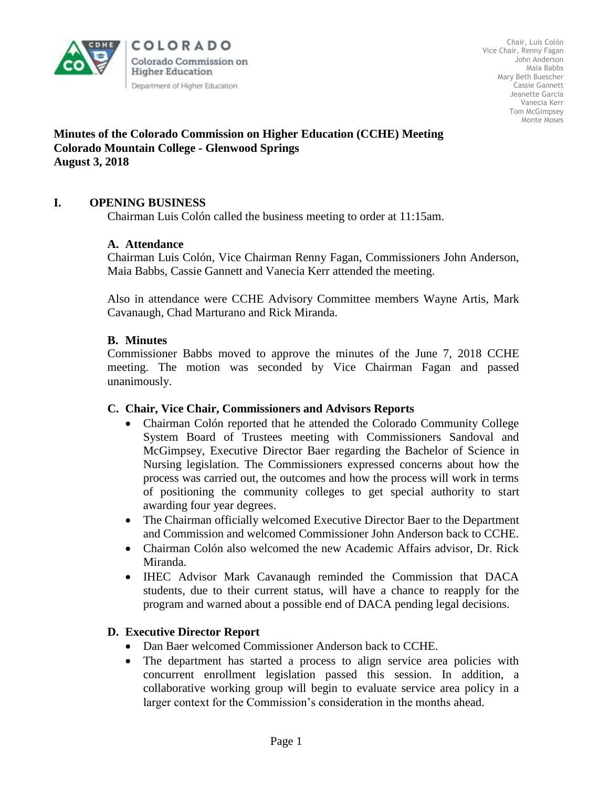

COLORADO Colorado Commission on **Higher Education** Department of Higher Education

Chair, Luis Colón Vice Chair, Renny Fagan John Anderson Maia Babbs Mary Beth Buescher Cassie Gannett Jeanette Garcia Vanecia Kerr Tom McGimpsey Monte Moses

#### **Minutes of the Colorado Commission on Higher Education (CCHE) Meeting Colorado Mountain College - Glenwood Springs August 3, 2018**

## **I. OPENING BUSINESS**

Chairman Luis Colón called the business meeting to order at 11:15am.

### **A. Attendance**

Chairman Luis Colón, Vice Chairman Renny Fagan, Commissioners John Anderson, Maia Babbs, Cassie Gannett and Vanecia Kerr attended the meeting.

Also in attendance were CCHE Advisory Committee members Wayne Artis, Mark Cavanaugh, Chad Marturano and Rick Miranda.

#### **B. Minutes**

Commissioner Babbs moved to approve the minutes of the June 7, 2018 CCHE meeting. The motion was seconded by Vice Chairman Fagan and passed unanimously.

#### **C. Chair, Vice Chair, Commissioners and Advisors Reports**

- Chairman Colón reported that he attended the Colorado Community College System Board of Trustees meeting with Commissioners Sandoval and McGimpsey, Executive Director Baer regarding the Bachelor of Science in Nursing legislation. The Commissioners expressed concerns about how the process was carried out, the outcomes and how the process will work in terms of positioning the community colleges to get special authority to start awarding four year degrees.
- The Chairman officially welcomed Executive Director Baer to the Department and Commission and welcomed Commissioner John Anderson back to CCHE.
- Chairman Colón also welcomed the new Academic Affairs advisor, Dr. Rick Miranda.
- IHEC Advisor Mark Cavanaugh reminded the Commission that DACA students, due to their current status, will have a chance to reapply for the program and warned about a possible end of DACA pending legal decisions.

#### **D. Executive Director Report**

- Dan Baer welcomed Commissioner Anderson back to CCHE.
- The department has started a process to align service area policies with concurrent enrollment legislation passed this session. In addition, a collaborative working group will begin to evaluate service area policy in a larger context for the Commission's consideration in the months ahead.